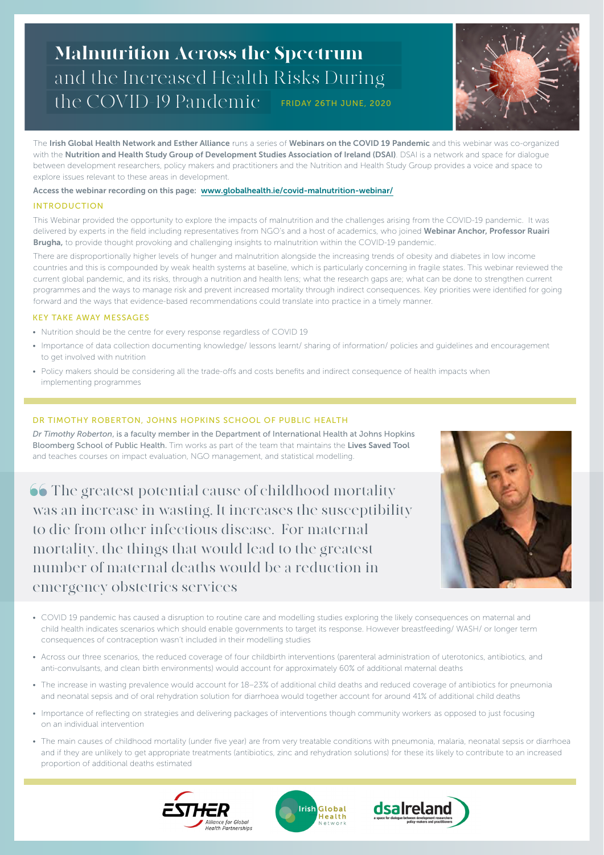# the COVID-19 Pandemic <sub>—</sub> friday 26th june, 2020 Malnutrition Across the Spectrum and the Increased Health Risks During



The Irish Global Health Network and Esther Alliance runs a series of Webinars on the COVID 19 Pandemic and this webinar was co-organized with the Nutrition and Health Study Group of Development Studies Association of Ireland (DSAI). DSAI is a network and space for dialogue between development researchers, policy makers and practitioners and the Nutrition and Health Study Group provides a voice and space to explore issues relevant to these areas in development.

# Access the webinar recording on this page: www.globalhealth.ie/covid-malnutrition-webinar/

### INTRODUCTION

This Webinar provided the opportunity to explore the impacts of malnutrition and the challenges arising from the COVID-19 pandemic. It was delivered by experts in the field including representatives from NGO's and a host of academics, who joined Webinar Anchor, Professor Ruairi **Brugha,** to provide thought provoking and challenging insights to malnutrition within the COVID-19 pandemic.

There are disproportionally higher levels of hunger and malnutrition alongside the increasing trends of obesity and diabetes in low income countries and this is compounded by weak health systems at baseline, which is particularly concerning in fragile states. This webinar reviewed the current global pandemic, and its risks, through a nutrition and health lens; what the research gaps are; what can be done to strengthen current programmes and the ways to manage risk and prevent increased mortality through indirect consequences. Key priorities were identified for going forward and the ways that evidence-based recommendations could translate into practice in a timely manner.

# KEY TAKE AWAY MESSAGES

- Nutrition should be the centre for every response regardless of COVID 19
- Importance of data collection documenting knowledge/ lessons learnt/ sharing of information/ policies and guidelines and encouragement to get involved with nutrition
- Policy makers should be considering all the trade-offs and costs benefits and indirect consequence of health impacts when implementing programmes

# DR TIMOTHY ROBERTON, JOHNS HOPKINS SCHOOL OF PUBLIC HEALTH

*Dr Timothy Roberton*, is a faculty member in the Department of International Health at Johns Hopkins Bloomberg School of Public Health. Tim works as part of the team that maintains the Lives Saved Tool and teaches courses on impact evaluation, NGO management, and statistical modelling.

**66** The greatest potential cause of childhood mortality was an increase in wasting, It increases the susceptibility to die from other infectious disease. For maternal mortality, the things that would lead to the greatest number of maternal deaths would be a reduction in emergency obstetrics services



- COVID 19 pandemic has caused a disruption to routine care and modelling studies exploring the likely consequences on maternal and child health indicates scenarios which should enable governments to target its response. However breastfeeding/ WASH/ or longer term consequences of contraception wasn't included in their modelling studies
- Across our three scenarios, the reduced coverage of four childbirth interventions (parenteral administration of uterotonics, antibiotics, and anti-convulsants, and clean birth environments) would account for approximately 60% of additional maternal deaths
- The increase in wasting prevalence would account for 18–23% of additional child deaths and reduced coverage of antibiotics for pneumonia and neonatal sepsis and of oral rehydration solution for diarrhoea would together account for around 41% of additional child deaths
- Importance of reflecting on strategies and delivering packages of interventions though community workers as opposed to just focusing on an individual intervention
- The main causes of childhood mortality (under five year) are from very treatable conditions with pneumonia, malaria, neonatal sepsis or diarrhoea and if they are unlikely to get appropriate treatments (antibiotics, zinc and rehydration solutions) for these its likely to contribute to an increased proportion of additional deaths estimated





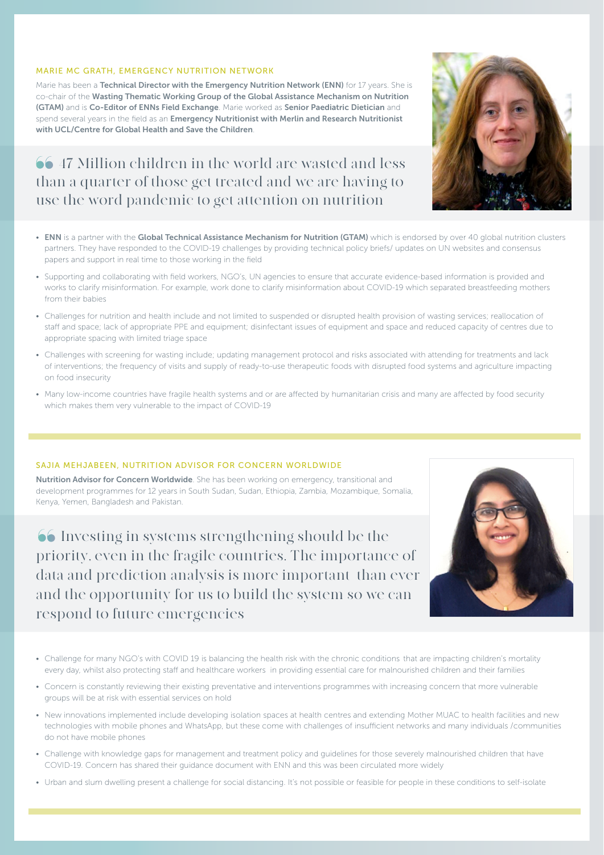#### MARIE MC GRATH, EMERGENCY NUTRITION NETWORK

Marie has been a Technical Director with the Emergency Nutrition Network (ENN) for 17 years. She is co-chair of the Wasting Thematic Working Group of the Global Assistance Mechanism on Nutrition (GTAM) and is Co-Editor of ENNs Field Exchange. Marie worked as Senior Paediatric Dietician and spend several years in the field as an Emergency Nutritionist with Merlin and Research Nutritionist with UCL/Centre for Global Health and Save the Children.

# 47 Million children in the world are wasted and less than a quarter of those get treated and we are having to use the word pandemic to get attention on nutrition



- ENN is a partner with the Global Technical Assistance Mechanism for Nutrition (GTAM) which is endorsed by over 40 global nutrition clusters partners. They have responded to the COVID-19 challenges by providing technical policy briefs/ updates on UN websites and consensus papers and support in real time to those working in the field
- Supporting and collaborating with field workers, NGO's, UN agencies to ensure that accurate evidence-based information is provided and works to clarify misinformation. For example, work done to clarify misinformation about COVID-19 which separated breastfeeding mothers from their babies
- Challenges for nutrition and health include and not limited to suspended or disrupted health provision of wasting services; reallocation of staff and space; lack of appropriate PPE and equipment; disinfectant issues of equipment and space and reduced capacity of centres due to appropriate spacing with limited triage space
- Challenges with screening for wasting include; updating management protocol and risks associated with attending for treatments and lack of interventions; the frequency of visits and supply of ready-to-use therapeutic foods with disrupted food systems and agriculture impacting on food insecurity
- Many low-income countries have fragile health systems and or are affected by humanitarian crisis and many are affected by food security which makes them very vulnerable to the impact of COVID-19

#### SAJIA MEHJABEEN, NUTRITION ADVISOR FOR CONCERN WORLDWIDE

Nutrition Advisor for Concern Worldwide. She has been working on emergency, transitional and development programmes for 12 years in South Sudan, Sudan, Ethiopia, Zambia, Mozambique, Somalia, Kenya, Yemen, Bangladesh and Pakistan.

 Investing in systems strengthening should be the priority, even in the fragile countries. The importance of data and prediction analysis is more important than ever and the opportunity for us to build the system so we can respond to future emergencies



- Challenge for many NGO's with COVID 19 is balancing the health risk with the chronic conditions that are impacting children's mortality every day, whilst also protecting staff and healthcare workers in providing essential care for malnourished children and their families
- Concern is constantly reviewing their existing preventative and interventions programmes with increasing concern that more vulnerable groups will be at risk with essential services on hold
- New innovations implemented include developing isolation spaces at health centres and extending Mother MUAC to health facilities and new technologies with mobile phones and WhatsApp, but these come with challenges of insufficient networks and many individuals /communities do not have mobile phones
- Challenge with knowledge gaps for management and treatment policy and guidelines for those severely malnourished children that have COVID-19. Concern has shared their guidance document with ENN and this was been circulated more widely
- Urban and slum dwelling present a challenge for social distancing. It's not possible or feasible for people in these conditions to self-isolate